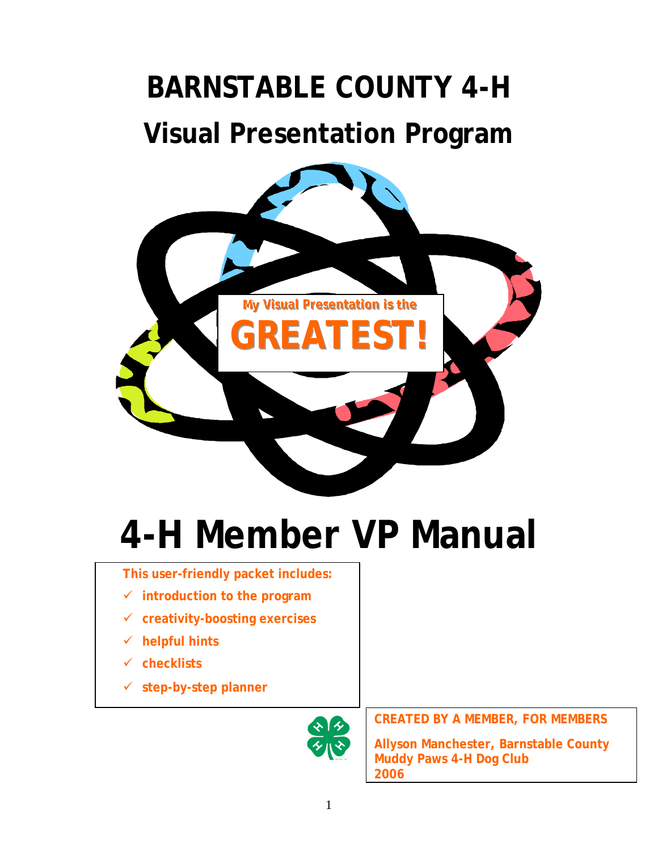# **BARNSTABLE COUNTY 4-H Visual Presentation Program**



# **4-H Member VP Manual**

#### **This user-friendly packet includes:**

- **introduction to the program**
- **creativity-boosting exercises**
- **helpful hints**
- **checklists**
- **step-by-step planner**



**CREATED BY A MEMBER, FOR MEMBERS**

**Allyson Manchester, Barnstable County Muddy Paws 4-H Dog Club 2006**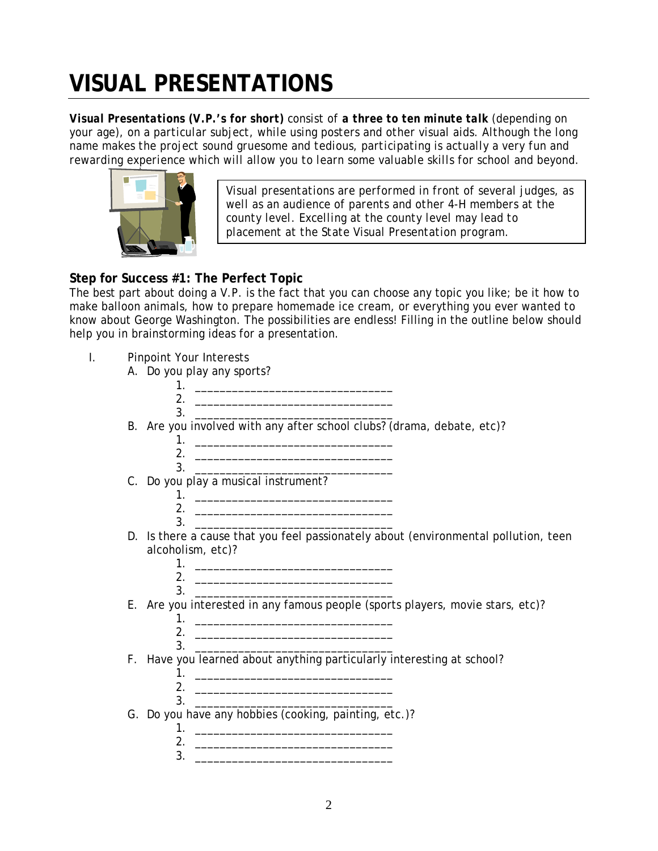## **VISUAL PRESENTATIONS**

*Visual Presentations (V.P.'s for short) consist of a three to ten minute talk (depending on your age), on a particular subject, while using posters and other visual aids. Although the long name makes the project sound gruesome and tedious, participating is actually a very fun and rewarding experience which will allow you to learn some valuable skills for school and beyond.* 



*Visual presentations are performed in front of several judges, as well as an audience of parents and other 4-H members at the county level. Excelling at the county level may lead to placement at the State Visual Presentation program.* 

#### **Step for Success #1: The Perfect Topic**

The best part about doing a V.P. is the fact that you can choose any topic you like; be it how to make balloon animals, how to prepare homemade ice cream, or everything you ever wanted to know about George Washington. The possibilities are endless! Filling in the outline below should help you in brainstorming ideas for a presentation.

- I. Pinpoint Your Interests
	- A. Do you play any sports?

| 2.                                                                                                                                                                                                                                         |
|--------------------------------------------------------------------------------------------------------------------------------------------------------------------------------------------------------------------------------------------|
| <u> 1989 - Johann John Stein, markin fan it ferstjer fan it ferstjer fan it ferstjer fan it ferstjer fan it fers</u>                                                                                                                       |
| 3.                                                                                                                                                                                                                                         |
| B. Are you involved with any after school clubs? (drama, debate, etc)?                                                                                                                                                                     |
|                                                                                                                                                                                                                                            |
| <u> 1980 - Johann Barn, fransk politik fotograf (d. 1980)</u>                                                                                                                                                                              |
| 3.                                                                                                                                                                                                                                         |
| C. Do you play a musical instrument?                                                                                                                                                                                                       |
|                                                                                                                                                                                                                                            |
| 2.<br><u> 1989 - Johann Harry Harry Harry Harry Harry Harry Harry Harry Harry Harry Harry Harry Harry Harry Harry Harry Harry Harry Harry Harry Harry Harry Harry Harry Harry Harry Harry Harry Harry Harry Harry Harry Harry Harry Ha</u> |
| 3.                                                                                                                                                                                                                                         |
| D. Is there a cause that you feel passionately about (environmental pollution, teen                                                                                                                                                        |
|                                                                                                                                                                                                                                            |
| alcoholism, etc)?                                                                                                                                                                                                                          |
|                                                                                                                                                                                                                                            |
|                                                                                                                                                                                                                                            |
| 3.                                                                                                                                                                                                                                         |
| E. Are you interested in any famous people (sports players, movie stars, etc)?                                                                                                                                                             |
|                                                                                                                                                                                                                                            |
|                                                                                                                                                                                                                                            |
| 3.                                                                                                                                                                                                                                         |
| F. Have you learned about anything particularly interesting at school?                                                                                                                                                                     |
|                                                                                                                                                                                                                                            |
|                                                                                                                                                                                                                                            |
| 3.                                                                                                                                                                                                                                         |
|                                                                                                                                                                                                                                            |
| G. Do you have any hobbies (cooking, painting, etc.)?                                                                                                                                                                                      |
| 1.                                                                                                                                                                                                                                         |
| <u> 1980 - Jan Barnett, fransk politik (d. 1980)</u>                                                                                                                                                                                       |
| 3.<br><u> 1989 - Johann John Stone, markin film yn y brenin y brenin y brenin y brenin y brenin y brenin y brenin y br</u>                                                                                                                 |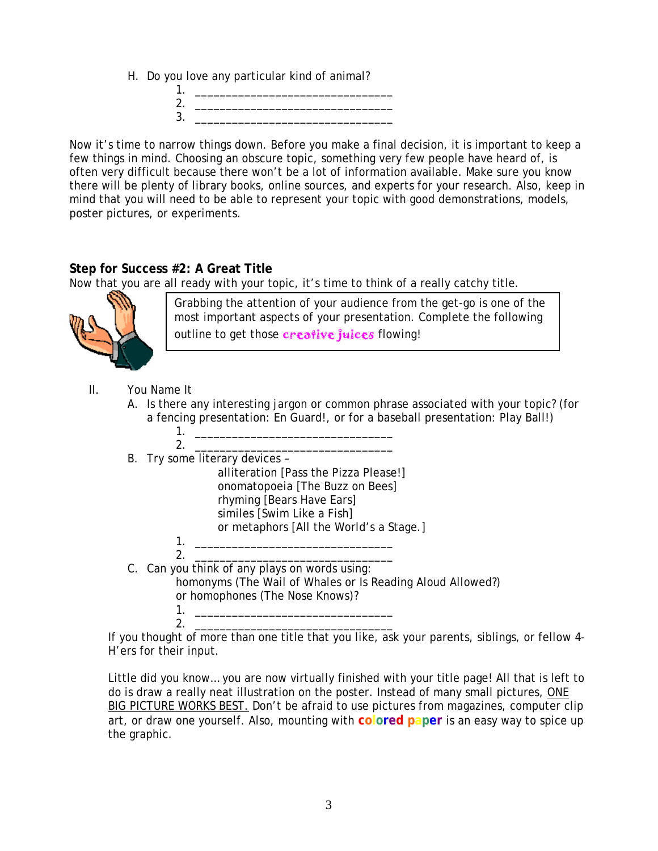- H. Do you love any particular kind of animal?
	- 1. \_\_\_\_\_\_\_\_\_\_\_\_\_\_\_\_\_\_\_\_\_\_\_\_\_\_\_\_\_\_\_\_ 2. \_\_\_\_\_\_\_\_\_\_\_\_\_\_\_\_\_\_\_\_\_\_\_\_\_\_\_\_\_\_\_\_  $3.$

Now it's time to narrow things down. Before you make a final decision, it is important to keep a few things in mind. Choosing an obscure topic, something very few people have heard of, is often very difficult because there won't be a lot of information available. Make sure you know there will be plenty of library books, online sources, and experts for your research. Also, keep in mind that you will need to be able to represent your topic with good demonstrations, models, poster pictures, or experiments.

#### **Step for Success #2: A Great Title**

Now that you are all ready with your topic, it's time to think of a really catchy title.



Grabbing the attention of your audience from the get-go is one of the most important aspects of your presentation. Complete the following outline to get those creative juices flowing!

- II. You Name It
	- A. Is there any interesting jargon or common phrase associated with your topic? (for a fencing presentation: En Guard!, or for a baseball presentation: Play Ball!)
	- 1. \_\_\_\_\_\_\_\_\_\_\_\_\_\_\_\_\_\_\_\_\_\_\_\_\_\_\_\_\_\_\_\_  $2.$ B. Try some literary devices – alliteration [Pass the Pizza Please!] onomatopoeia [The Buzz on Bees] rhyming [Bears Have Ears] similes [Swim Like a Fish] or metaphors [All the World's a Stage.] 1. \_\_\_\_\_\_\_\_\_\_\_\_\_\_\_\_\_\_\_\_\_\_\_\_\_\_\_\_\_\_\_\_ 2. \_\_\_\_\_\_\_\_\_\_\_\_\_\_\_\_\_\_\_\_\_\_\_\_\_\_\_\_\_\_\_\_
	- C. Can you think of any plays on words using: homonyms (The Wail of Whales or Is Reading Aloud Allowed?) or homophones (The Nose Knows)? 1. \_\_\_\_\_\_\_\_\_\_\_\_\_\_\_\_\_\_\_\_\_\_\_\_\_\_\_\_\_\_\_\_

2. \_\_\_\_\_\_\_\_\_\_\_\_\_\_\_\_\_\_\_\_\_\_\_\_\_\_\_\_\_\_\_\_ If you thought of more than one title that you like, ask your parents, siblings, or fellow 4- H'ers for their input.

Little did you know… you are now virtually finished with your title page! All that is left to do is draw a really neat illustration on the poster. Instead of many small pictures, ONE BIG PICTURE WORKS BEST. Don't be afraid to use pictures from magazines, computer clip art, or draw one yourself. Also, mounting with **colored paper** is an easy way to spice up the graphic.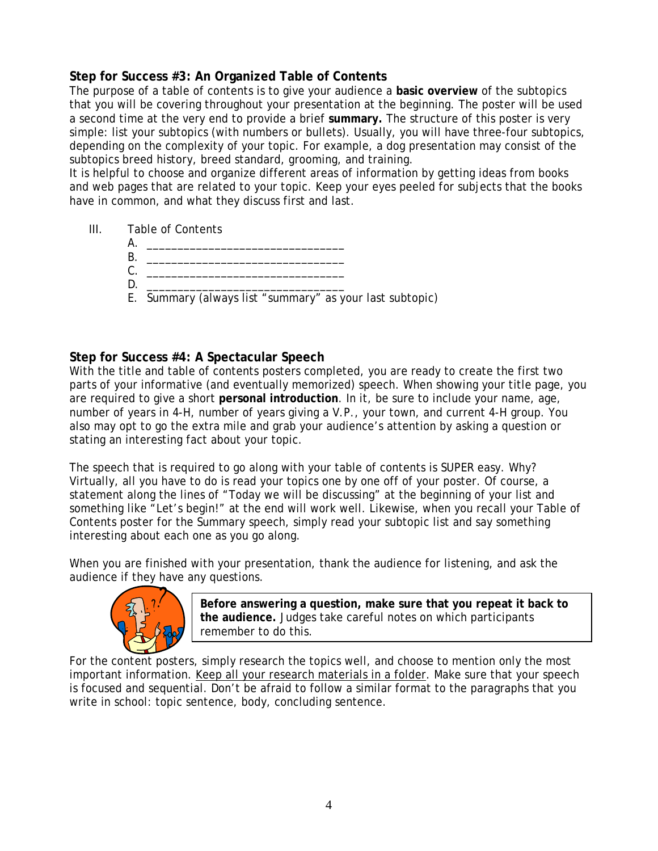#### **Step for Success #3: An Organized Table of Contents**

The purpose of a table of contents is to give your audience a **basic overview** of the subtopics that you will be covering throughout your presentation at the beginning. The poster will be used a second time at the very end to provide a brief **summary.** The structure of this poster is very simple: list your subtopics (with numbers or bullets). Usually, you will have three-four subtopics, depending on the complexity of your topic. For example, a dog presentation may consist of the subtopics breed history, breed standard, grooming, and training.

It is helpful to choose and organize different areas of information by getting ideas from books and web pages that are related to your topic. Keep your eyes peeled for subjects that the books have in common, and what they discuss first and last.

- III. Table of Contents
	- A. \_\_\_\_\_\_\_\_\_\_\_\_\_\_\_\_\_\_\_\_\_\_\_\_\_\_\_\_\_\_\_\_
	- B. \_\_\_\_\_\_\_\_\_\_\_\_\_\_\_\_\_\_\_\_\_\_\_\_\_\_\_\_\_\_\_\_ C. \_\_\_\_\_\_\_\_\_\_\_\_\_\_\_\_\_\_\_\_\_\_\_\_\_\_\_\_\_\_\_\_
	- D. \_\_\_\_\_\_\_\_\_\_\_\_\_\_\_\_\_\_\_\_\_\_\_\_\_\_\_\_\_\_\_\_
	- E. Summary (always list "summary" as your last subtopic)

#### **Step for Success #4: A Spectacular Speech**

With the title and table of contents posters completed, you are ready to create the first two parts of your informative (and eventually memorized) speech. When showing your title page, you are required to give a short **personal introduction**. In it, be sure to include your name, age, number of years in 4-H, number of years giving a V.P., your town, and current 4-H group. You also may opt to go the extra mile and grab your audience's attention by asking a question or stating an interesting fact about your topic.

The speech that is required to go along with your table of contents is SUPER easy. Why? Virtually, all you have to do is read your topics one by one off of your poster. Of course, a statement along the lines of "Today we will be discussing" at the beginning of your list and something like "Let's begin!" at the end will work well. Likewise, when you recall your Table of Contents poster for the Summary speech, simply read your subtopic list and say something interesting about each one as you go along.

When you are finished with your presentation, thank the audience for listening, and ask the audience if they have any questions.



**Before answering a question, make sure that you repeat it back to the audience.** Judges take careful notes on which participants remember to do this.

For the content posters, simply research the topics well, and choose to mention only the most important information. Keep all your research materials in a folder. Make sure that your speech is focused and sequential. Don't be afraid to follow a similar format to the paragraphs that you write in school: topic sentence, body, concluding sentence.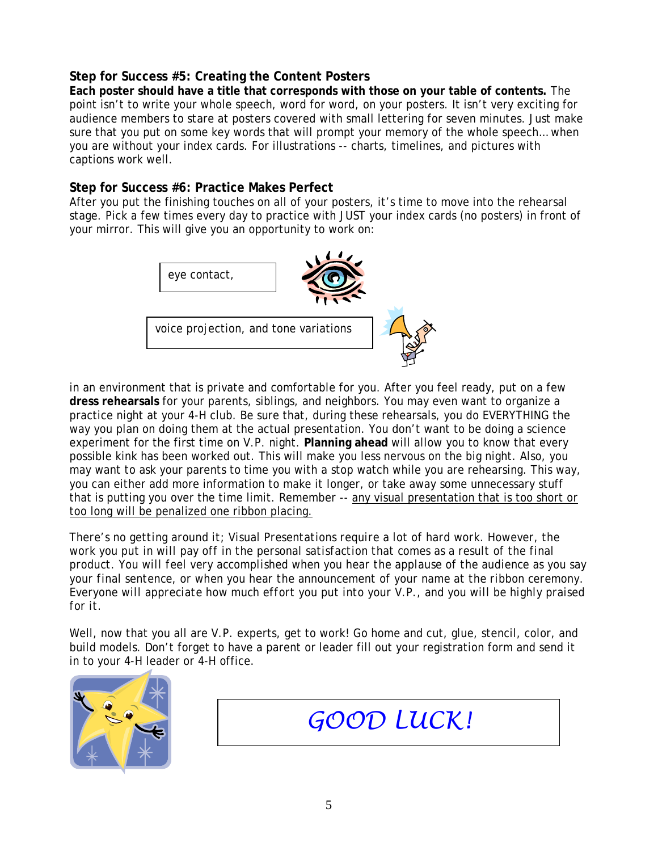#### **Step for Success #5: Creating the Content Posters**

**Each poster should have a title that corresponds with those on your table of contents.** The point isn't to write your whole speech, word for word, on your posters. It isn't very exciting for audience members to stare at posters covered with small lettering for seven minutes. Just make sure that you put on some key words that will prompt your memory of the whole speech… when you are without your index cards. For illustrations -- charts, timelines, and pictures with captions work well.

#### **Step for Success #6: Practice Makes Perfect**

After you put the finishing touches on all of your posters, it's time to move into the rehearsal stage. Pick a few times every day to practice with JUST your index cards (no posters) in front of your mirror. This will give you an opportunity to work on:



in an environment that is private and comfortable for you. After you feel ready, put on a few **dress rehearsals** for your parents, siblings, and neighbors. You may even want to organize a practice night at your 4-H club. Be sure that, during these rehearsals, you do EVERYTHING the way you plan on doing them at the actual presentation. You don't want to be doing a science experiment for the first time on V.P. night. **Planning ahead** will allow you to know that every possible kink has been worked out. This will make you less nervous on the big night. Also, you may want to ask your parents to time you with a stop watch while you are rehearsing. This way, you can either add more information to make it longer, or take away some unnecessary stuff that is putting you over the time limit. Remember -- any visual presentation that is too short or too long will be penalized one ribbon placing.

*There's no getting around it; Visual Presentations require a lot of hard work. However, the work you put in will pay off in the personal satisfaction that comes as a result of the final product. You will feel very accomplished when you hear the applause of the audience as you say your final sentence, or when you hear the announcement of your name at the ribbon ceremony. Everyone will appreciate how much effort you put into your V.P., and you will be highly praised for it.* 

Well, now that you all are V.P. experts, get to work! Go home and cut, glue, stencil, color, and build models. Don't forget to have a parent or leader fill out your registration form and send it in to your 4-H leader or 4-H office.



*GOOD LUCK!*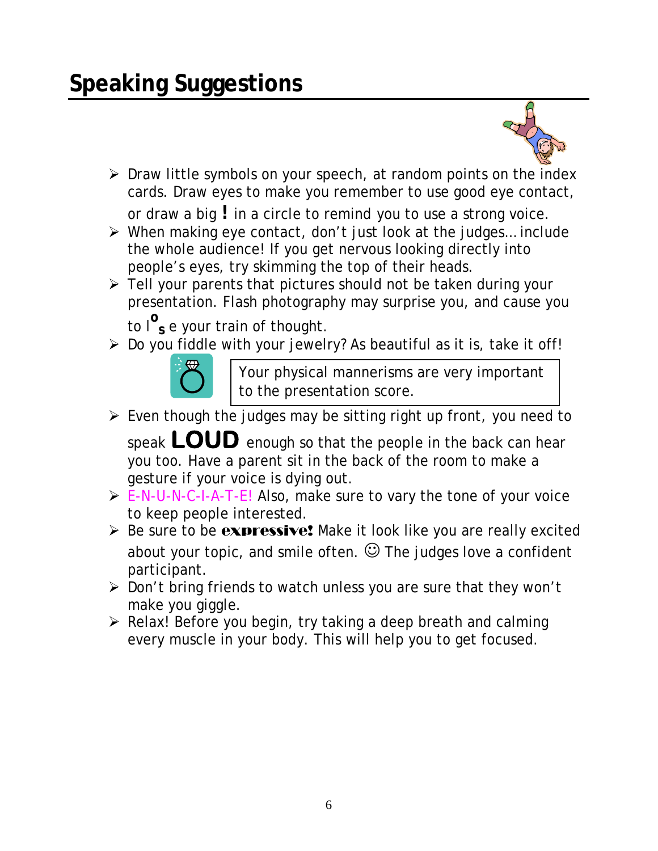### **Speaking Suggestions**



▶ Draw little symbols on your speech, at random points on the index cards. Draw eyes to make you remember to use good eye contact,

or draw a big **!** in a circle to remind you to use a strong voice.

- $\triangleright$  When making eye contact, don't just look at the judges... include the whole audience! If you get nervous looking directly into people's eyes, try skimming the top of their heads.
- $\triangleright$  Tell your parents that pictures should not be taken during your presentation. Flash photography may surprise you, and cause you

to l**<sup>o</sup> s** e your train of thought.

> Do you fiddle with your jewelry? As beautiful as it is, take it off!



Your physical mannerisms are very important to the presentation score.

 $\triangleright$  Even though the judges may be sitting right up front, you need to

speak **LOUD** enough so that the people in the back can hear you too. Have a parent sit in the back of the room to make a gesture if your voice is dying out.

- $\triangleright$  E-N-U-N-C-I-A-T-E! Also, make sure to vary the tone of your voice to keep people interested.
- $\triangleright$  Be sure to be expressive! Make it look like you are really excited about your topic, and smile often.  $\odot$  The judges love a confident participant.
- Don't bring friends to watch unless you are sure that they won't make you giggle.
- $\triangleright$  Relax! Before you begin, try taking a deep breath and calming every muscle in your body. This will help you to get focused.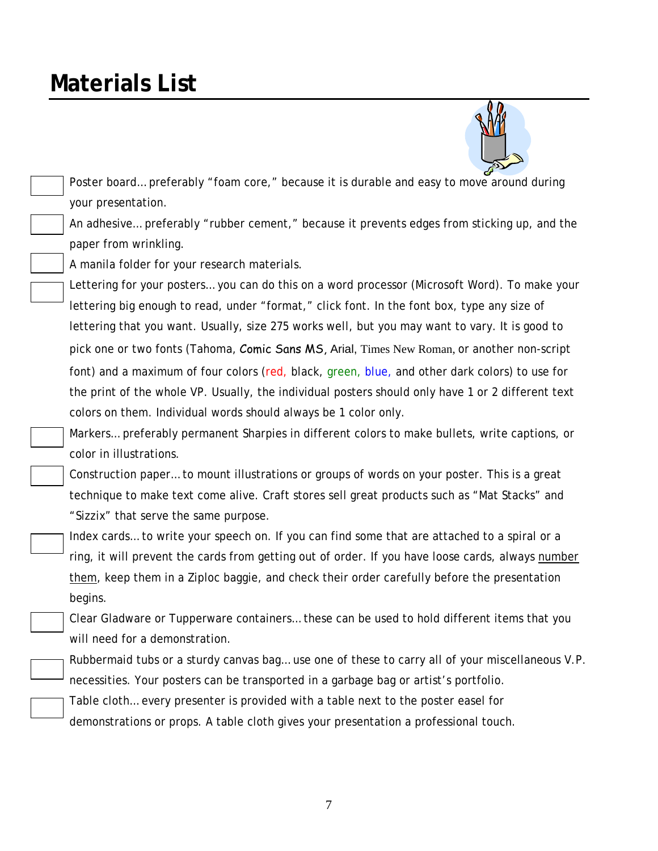### **Materials List**



 Poster board… preferably "foam core," because it is durable and easy to move around during your presentation.

An adhesive… preferably "rubber cement," because it prevents edges from sticking up, and the paper from wrinkling.

A manila folder for your research materials.

Lettering for your posters… you can do this on a word processor (Microsoft Word). To make your lettering big enough to read, under "format," click font. In the font box, type any size of lettering that you want. Usually, size 275 works well, but you may want to vary. It is good to pick one or two fonts (Tahoma, Comic Sans MS, Arial, Times New Roman, or another non-script font) and a maximum of four colors (red, black, green, blue, and other dark colors) to use for the print of the whole VP. Usually, the individual posters should only have 1 or 2 different text colors on them. Individual words should always be 1 color only.

Markers… preferably permanent Sharpies in different colors to make bullets, write captions, or color in illustrations.

Construction paper… to mount illustrations or groups of words on your poster. This is a great technique to make text come alive. Craft stores sell great products such as "Mat Stacks" and "Sizzix" that serve the same purpose.

Index cards… to write your speech on. If you can find some that are attached to a spiral or a ring, it will prevent the cards from getting out of order. If you have loose cards, always number them, keep them in a Ziploc baggie, and check their order carefully before the presentation begins.

Clear Gladware or Tupperware containers… these can be used to hold different items that you will need for a demonstration.

Rubbermaid tubs or a sturdy canvas bag… use one of these to carry all of your miscellaneous V.P. necessities. Your posters can be transported in a garbage bag or artist's portfolio.

Table cloth… every presenter is provided with a table next to the poster easel for demonstrations or props. A table cloth gives your presentation a professional touch.

7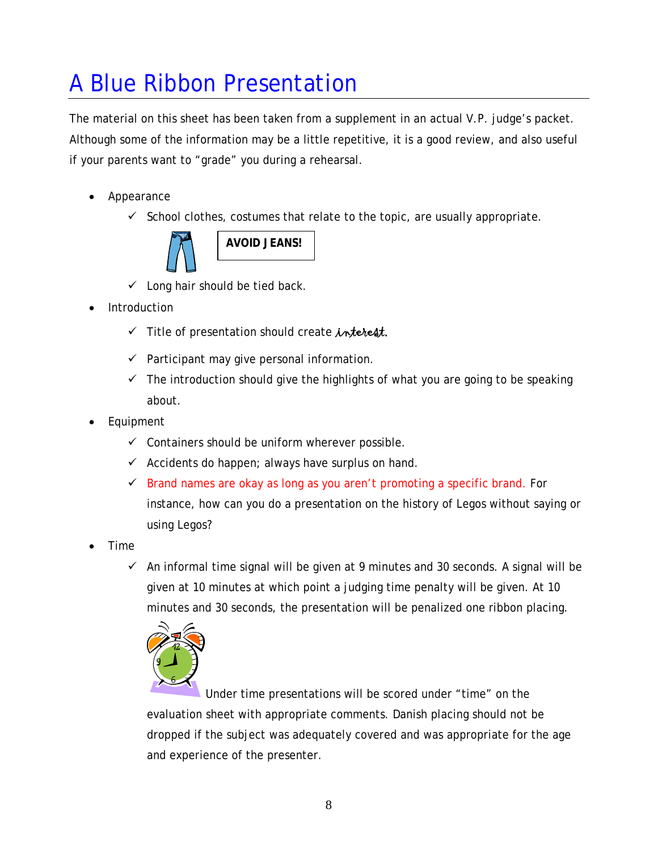## A Blue Ribbon Presentation

The material on this sheet has been taken from a supplement in an actual V.P. judge's packet. Although some of the information may be a little repetitive, it is a good review, and also useful if your parents want to "grade" you during a rehearsal.

- Appearance
	- $\checkmark$  School clothes, costumes that relate to the topic, are usually appropriate.



- $\checkmark$  Long hair should be tied back.
- Introduction
	- $\checkmark$  Title of presentation should create interest.
	- $\checkmark$  Participant may give personal information.
	- $\checkmark$  The introduction should give the highlights of what you are going to be speaking about.
- Equipment
	- $\checkmark$  Containers should be uniform wherever possible.
	- $\checkmark$  Accidents do happen; always have surplus on hand.
	- $\checkmark$  Brand names are okay as long as you aren't promoting a specific brand. For instance, how can you do a presentation on the history of Legos without saying or using Legos?
- Time
	- $\checkmark$  An informal time signal will be given at 9 minutes and 30 seconds. A signal will be given at 10 minutes at which point a judging time penalty will be given. At 10 minutes and 30 seconds, the presentation will be penalized one ribbon placing.



Under time presentations will be scored under "time" on the evaluation sheet with appropriate comments. Danish placing should not be dropped if the subject was adequately covered and was appropriate for the age and experience of the presenter.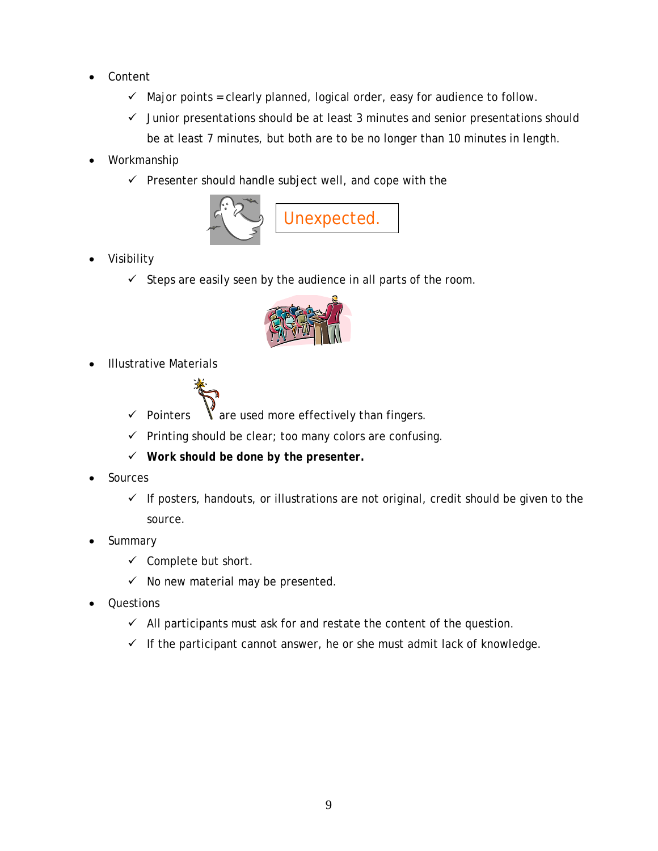- Content
	- $\checkmark$  Major points = clearly planned, logical order, easy for audience to follow.
	- $\checkmark$  Junior presentations should be at least 3 minutes and senior presentations should be at least 7 minutes, but both are to be no longer than 10 minutes in length.
- Workmanship
	- $\checkmark$  Presenter should handle subject well, and cope with the



- Visibility
	- $\checkmark$  Steps are easily seen by the audience in all parts of the room.



Illustrative Materials



- $\checkmark$  Pointers  $\checkmark$  are used more effectively than fingers.
- $\checkmark$  Printing should be clear; too many colors are confusing.
- *Work should be done by the presenter.*
- Sources
	- $\checkmark$  If posters, handouts, or illustrations are not original, credit should be given to the source.
- Summary
	- $\checkmark$  Complete but short.
	- $\checkmark$  No new material may be presented.
- Questions
	- $\checkmark$  All participants must ask for and restate the content of the question.
	- $\checkmark$  If the participant cannot answer, he or she must admit lack of knowledge.